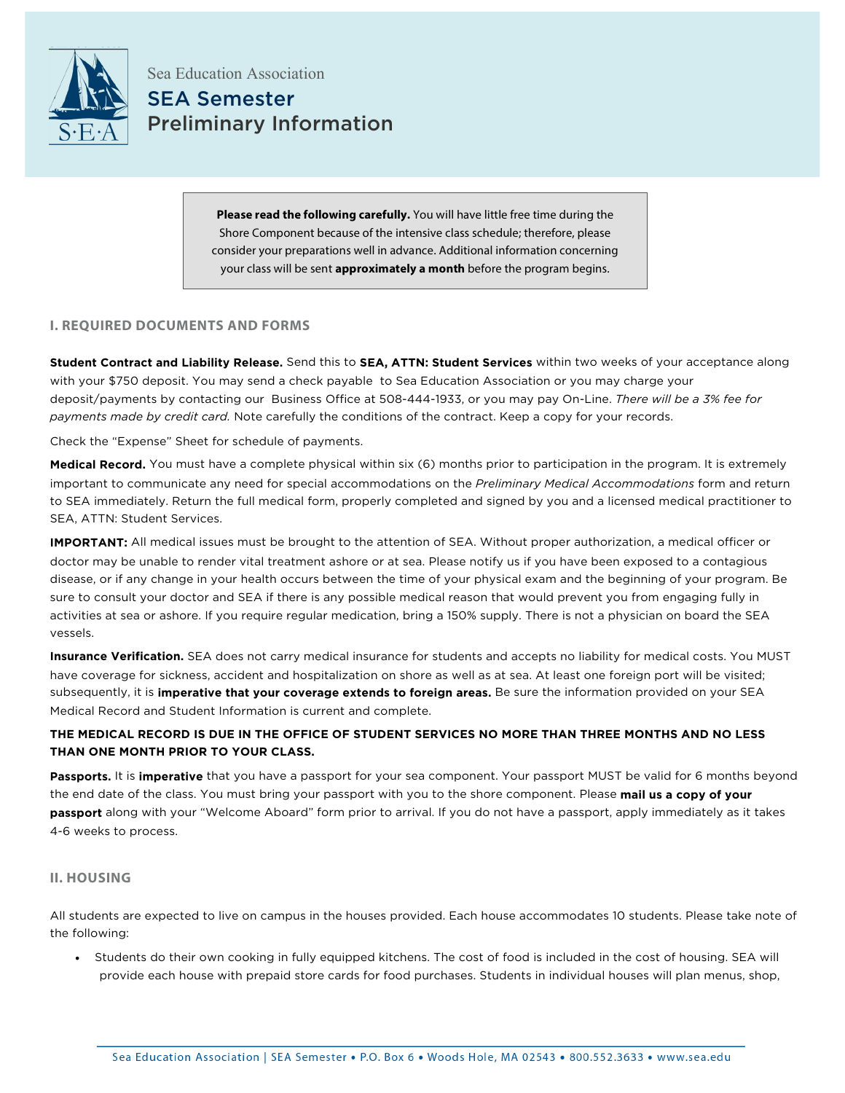

Sea Education Association SEA Semester Preliminary Information

> **Please read the following carefully.** You will have little free time during the Shore Component because of the intensive class schedule; therefore, please consider your preparations well in advance. Additional information concerning your class will be sent **approximately a month** before the program begins.

## **I. REQUIRED DOCUMENTS AND FORMS**

**Student Contract and Liability Release.** Send this to **SEA, ATTN: Student Services** within two weeks of your acceptance along with your \$750 deposit. You may send a check payable to Sea Education Association or you may charge your deposit/payments by contacting our Business Office at 508-444-1933, or you may pay On-Line. *There will be a 3% fee for payments made by credit card.* Note carefully the conditions of the contract. Keep a copy for your records.

Check the "Expense" Sheet for schedule of payments.

**Medical Record.** You must have a complete physical within six (6) months prior to participation in the program. It is extremely important to communicate any need for special accommodations on the *Preliminary Medical Accommodations* form and return to SEA immediately. Return the full medical form, properly completed and signed by you and a licensed medical practitioner to SEA, ATTN: Student Services.

**IMPORTANT:** All medical issues must be brought to the attention of SEA. Without proper authorization, a medical officer or doctor may be unable to render vital treatment ashore or at sea. Please notify us if you have been exposed to a contagious disease, or if any change in your health occurs between the time of your physical exam and the beginning of your program. Be sure to consult your doctor and SEA if there is any possible medical reason that would prevent you from engaging fully in activities at sea or ashore. If you require regular medication, bring a 150% supply. There is not a physician on board the SEA vessels.

**Insurance Verification.** SEA does not carry medical insurance for students and accepts no liability for medical costs. You MUST have coverage for sickness, accident and hospitalization on shore as well as at sea. At least one foreign port will be visited; subsequently, it is **imperative that your coverage extends to foreign areas.** Be sure the information provided on your SEA Medical Record and Student Information is current and complete.

# **THE MEDICAL RECORD IS DUE IN THE OFFICE OF STUDENT SERVICES NO MORE THAN THREE MONTHS AND NO LESS THAN ONE MONTH PRIOR TO YOUR CLASS.**

**Passports.** It is **imperative** that you have a passport for your sea component. Your passport MUST be valid for 6 months beyond the end date of the class. You must bring your passport with you to the shore component. Please **mail us a copy of your passport** along with your "Welcome Aboard" form prior to arrival. If you do not have a passport, apply immediately as it takes 4-6 weeks to process.

## **II. HOUSING**

All students are expected to live on campus in the houses provided. Each house accommodates 10 students. Please take note of the following:

• Students do their own cooking in fully equipped kitchens. The cost of food is included in the cost of housing. SEA will provide each house with prepaid store cards for food purchases. Students in individual houses will plan menus, shop,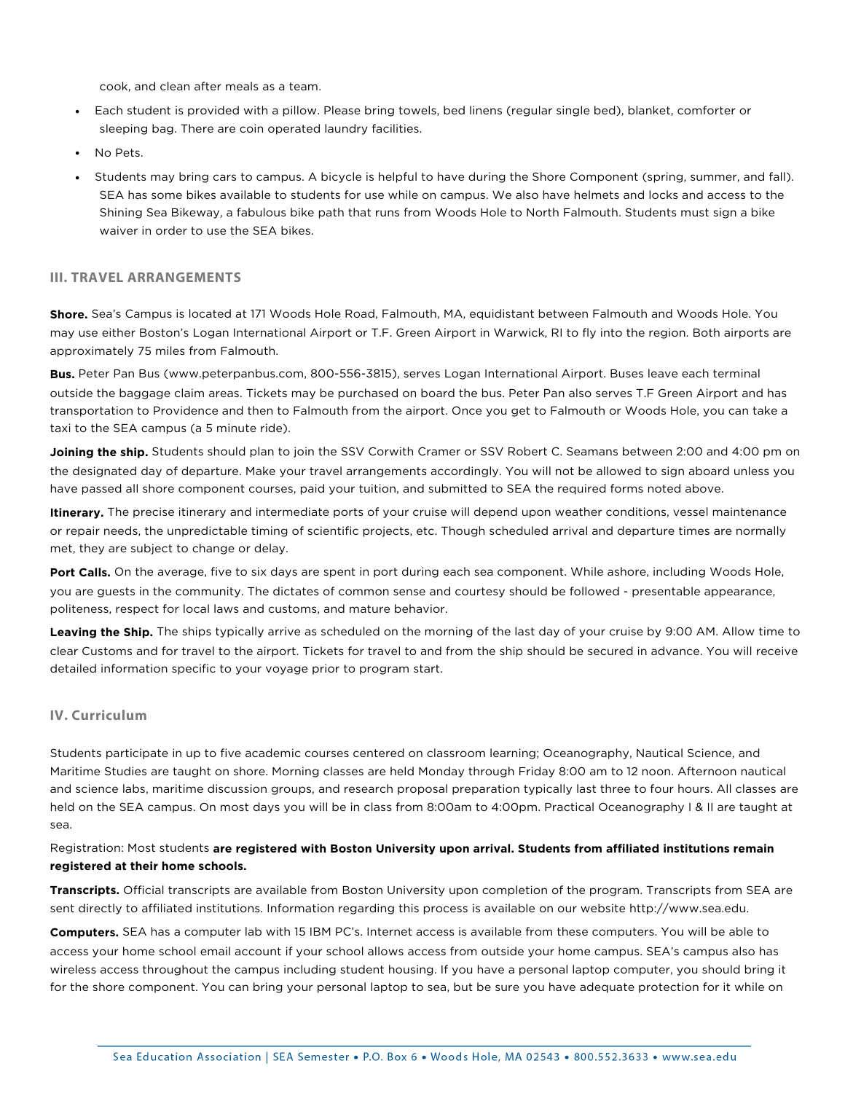cook, and clean after meals as a team.

- Each student is provided with a pillow. Please bring towels, bed linens (regular single bed), blanket, comforter or sleeping bag. There are coin operated laundry facilities.
- No Pets.
- Students may bring cars to campus. A bicycle is helpful to have during the Shore Component (spring, summer, and fall). SEA has some bikes available to students for use while on campus. We also have helmets and locks and access to the Shining Sea Bikeway, a fabulous bike path that runs from Woods Hole to North Falmouth. Students must sign a bike waiver in order to use the SEA bikes.

### **III. TRAVEL ARRANGEMENTS**

**Shore.** Sea's Campus is located at 171 Woods Hole Road, Falmouth, MA, equidistant between Falmouth and Woods Hole. You may use either Boston's Logan International Airport or T.F. Green Airport in Warwick, RI to fly into the region. Both airports are approximately 75 miles from Falmouth.

**Bus.** Peter Pan Bus (www.peterpanbus.com, 800-556-3815), serves Logan International Airport. Buses leave each terminal outside the baggage claim areas. Tickets may be purchased on board the bus. Peter Pan also serves T.F Green Airport and has transportation to Providence and then to Falmouth from the airport. Once you get to Falmouth or Woods Hole, you can take a taxi to the SEA campus (a 5 minute ride).

**Joining the ship.** Students should plan to join the SSV Corwith Cramer or SSV Robert C. Seamans between 2:00 and 4:00 pm on the designated day of departure. Make your travel arrangements accordingly. You will not be allowed to sign aboard unless you have passed all shore component courses, paid your tuition, and submitted to SEA the required forms noted above.

**Itinerary.** The precise itinerary and intermediate ports of your cruise will depend upon weather conditions, vessel maintenance or repair needs, the unpredictable timing of scientific projects, etc. Though scheduled arrival and departure times are normally met, they are subject to change or delay.

**Port Calls.** On the average, five to six days are spent in port during each sea component. While ashore, including Woods Hole, you are guests in the community. The dictates of common sense and courtesy should be followed - presentable appearance, politeness, respect for local laws and customs, and mature behavior.

**Leaving the Ship.** The ships typically arrive as scheduled on the morning of the last day of your cruise by 9:00 AM. Allow time to clear Customs and for travel to the airport. Tickets for travel to and from the ship should be secured in advance. You will receive detailed information specific to your voyage prior to program start.

### **IV. Curriculum**

Students participate in up to five academic courses centered on classroom learning; Oceanography, Nautical Science, and Maritime Studies are taught on shore. Morning classes are held Monday through Friday 8:00 am to 12 noon. Afternoon nautical and science labs, maritime discussion groups, and research proposal preparation typically last three to four hours. All classes are held on the SEA campus. On most days you will be in class from 8:00am to 4:00pm. Practical Oceanography I & II are taught at sea.

Registration: Most students **are registered with Boston University upon arrival. Students from affiliated institutions remain registered at their home schools.**

**Transcripts.** Official transcripts are available from Boston University upon completion of the program. Transcripts from SEA are sent directly to affiliated institutions. Information regarding this process is available on our website http://www.sea.edu.

**Computers.** SEA has a computer lab with 15 IBM PC's. Internet access is available from these computers. You will be able to access your home school email account if your school allows access from outside your home campus. SEA's campus also has wireless access throughout the campus including student housing. If you have a personal laptop computer, you should bring it for the shore component. You can bring your personal laptop to sea, but be sure you have adequate protection for it while on